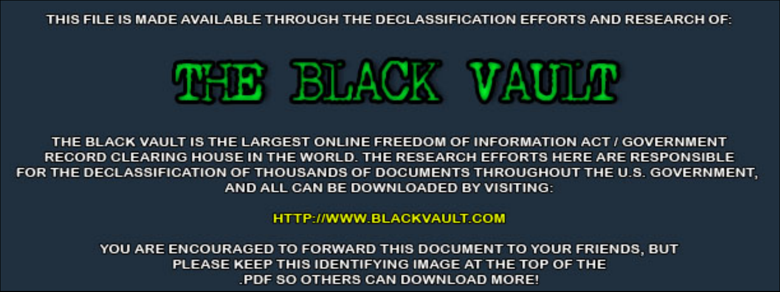THIS FILE IS MADE AVAILABLE THROUGH THE DECLASSIFICATION EFFORTS AND RESEARCH OF:



THE BLACK VAULT IS THE LARGEST ONLINE FREEDOM OF INFORMATION ACT / GOVERNMENT RECORD CLEARING HOUSE IN THE WORLD. THE RESEARCH EFFORTS HERE ARE RESPONSIBLE FOR THE DECLASSIFICATION OF THOUSANDS OF DOCUMENTS THROUGHOUT THE U.S. GOVERNMENT, AND ALL CAN BE DOWNLOADED BY VISITING:

**HTTP://WWW.BLACKVAULT.COM** 

YOU ARE ENCOURAGED TO FORWARD THIS DOCUMENT TO YOUR FRIENDS, BUT PLEASE KEEP THIS IDENTIFYING IMAGE AT THE TOP OF THE PDF SO OTHERS CAN DOWNLOAD MORE!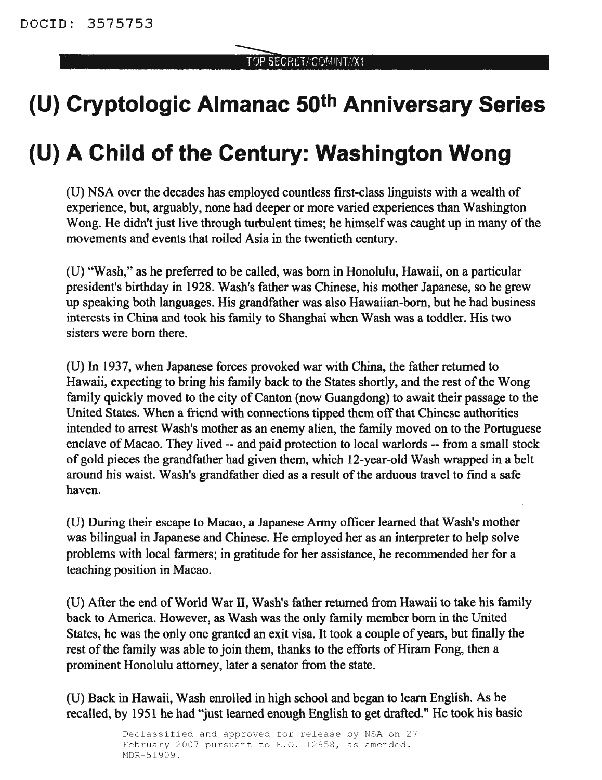# **(U) Cryptologic Almanac 50th Anniversary Series**

# **(U) A Child of the Century: Washington Wong**

(U) NSA over the decades has employed countless first-class linguists with a wealth of experience, but, arguably, none had deeper or more varied experiences than Washington Wong. He didn't just live through turbulent times; he himself was caught up in many of the movements and events that roiled Asia in the twentieth century.

(U) "Wash," as he preferred to be called, was born in Honolulu, Hawaii, on a particular president's birthday in 1928. Wash's father was Chinese, his mother Japanese, so he grew up speaking both languages. His grandfather was also Hawaiian-born, but he had business interests in China and took his family to Shanghai when Wash was a toddler. His two sisters were born there.

(U) In 1937, when Japanese forces provoked war with China, the father returned to Hawaii, expecting to bring his family back to the States shortly, and the rest of the Wong family quickly moved to the city of Canton (now Guangdong) to await their passage to the United States. When a friend with connections tipped them off that Chinese authorities intended to arrest Wash's mother as an enemy alien, the family moved on to the Portuguese enclave of Macao. They lived -- and paid protection to local warlords -- from a small stock of gold pieces the grandfather had given them, which 12-year-old Wash wrapped in a belt around his waist. Wash's grandfather died as a result of the arduous travel to find a safe haven.

(U) During their escape to Macao, a Japanese Army officer learned that Wash's mother was bilingual in Japanese and Chinese. He employed her as an interpreter to help solve problems with local fanners; in gratitude for her assistance, he recommended her for a teaching position in Macao.

(U) After the end ofWorld War II, Wash's father returned from Hawaii to take his family back to America. However, as Wash was the only family member born in the United States, he was the only one granted an exit visa. It took a couple of years, but finally the rest of the family was able to join them, thanks to the efforts of Hiram Fong, then a prominent Honolulu attorney, later a senator from the state.

(U) Back in Hawaii, Wash enrolled in high school and began to learn English. As he recalled, by 1951 he had "just learned enough English to get drafted." He took his basic

> Declassified and approved for release by NSA on 27 February 2007 pursuant to E.O. 12958, as amended. MDR-51909.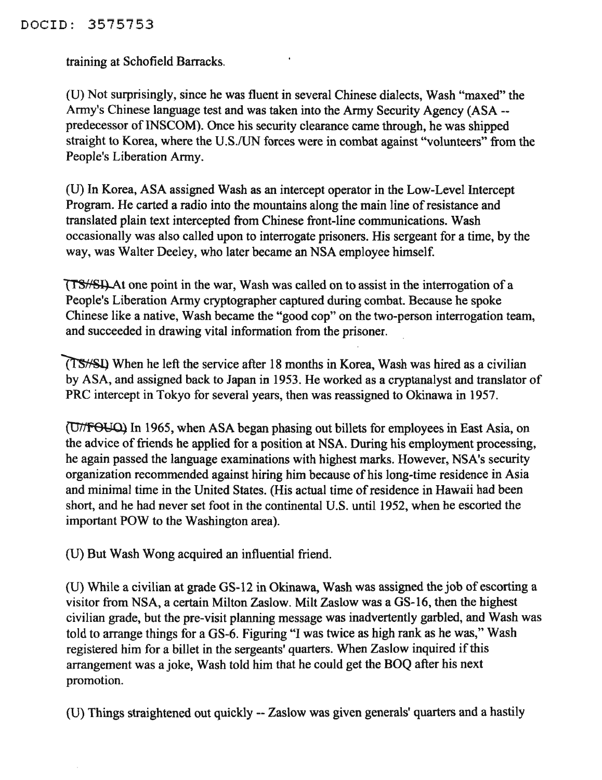## DOCID: 3575753

training at Schofield Barracks.

(U) Not surprisingly, since he was fluent in several Chinese dialects, Wash "maxed" the Army's Chinese language test and was taken into the Army Security Agency (ASA - predecessor of INSCOM). Once his security clearance came through, he was shipped straight to Korea, where the U.S./UN forces were in combat against "volunteers" from the People's Liberation Army.

(U) In Korea, ASA assigned Wash as an intercept operator in the Low-Level Intercept Program. He carted a radio into the mountains along the main line of resistance and translated plain text intercepted from Chinese front-line communications. Wash occasionally was also called upon to interrogate prisoners. His sergeant for a time, by the way, was Walter Deeley, who later became an NSA employee himself.

 $T$ SHQ At one point in the war, Wash was called on to assist in the interrogation of a People's Liberation Army cryptographer captured during combat. Because he spoke Chinese like a native, Wash became the "good cop" on the two-person interrogation team, and succeeded in drawing vital information from the prisoner.

When he left the service after 18 months in Korea, Wash was hired as a civilian by ASA, and assigned back to Japan in 1953. He worked as a cryptanalyst and translator of PRC intercept in Tokyo for several years, then was reassigned to Okinawa in 1957.

In 1965, when ASA began phasing out billets for employees in East Asia, on the advice of friends he applied for a position at NSA. During his employment processing, he again passed the language examinations with highest marks. However, NSA's security organization recommended against hiring him because of his long-time residence in Asia and minimal time in the United States. (His actual time of residence in Hawaii had been short, and he had never set foot in the continental U.S. until 1952, when he escorted the important POW to the Washington area).

(U) But Wash Wong acquired an influential friend.

(U) While a civilian at grade OS-12 in Okinawa, Wash was assigned the job of escorting a visitor from NSA, a certain Milton Zaslow. Milt Zaslow was a GS-16, then the highest civilian grade, but the pre-visit planning message was inadvertently garbled, and Wash was told to arrange things for a OS-6. Figuring "I was twice as high rank as he was," Wash registered him for a billet in the sergeants' quarters. When Zaslow inquired if this arrangement was a joke, Wash told him that he could get the BOQ after his next promotion.

(U) Things straightened out quickly -- Zaslow was given generals' quarters and a hastily